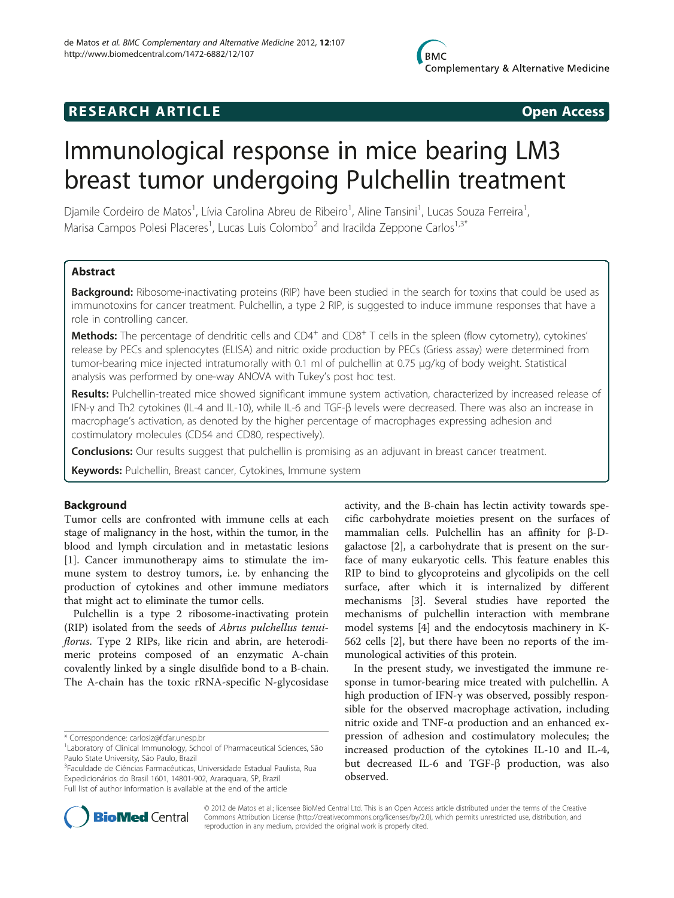# **RESEARCH ARTICLE Example 2014 CONSIDERING CONSIDERING CONSIDERING CONSIDERING CONSIDERING CONSIDERING CONSIDERING CONSIDERING CONSIDERING CONSIDERING CONSIDERING CONSIDERING CONSIDERING CONSIDERING CONSIDERING CONSIDE**

# Immunological response in mice bearing LM3 breast tumor undergoing Pulchellin treatment

Djamile Cordeiro de Matos<sup>1</sup>, Lívia Carolina Abreu de Ribeiro<sup>1</sup>, Aline Tansini<sup>1</sup>, Lucas Souza Ferreira<sup>1</sup> , Marisa Campos Polesi Placeres<sup>1</sup>, Lucas Luis Colombo<sup>2</sup> and Iracilda Zeppone Carlos<sup>1,3\*</sup>

# Abstract

Background: Ribosome-inactivating proteins (RIP) have been studied in the search for toxins that could be used as immunotoxins for cancer treatment. Pulchellin, a type 2 RIP, is suggested to induce immune responses that have a role in controlling cancer.

Methods: The percentage of dendritic cells and CD4<sup>+</sup> and CD8<sup>+</sup> T cells in the spleen (flow cytometry), cytokines' release by PECs and splenocytes (ELISA) and nitric oxide production by PECs (Griess assay) were determined from tumor-bearing mice injected intratumorally with 0.1 ml of pulchellin at 0.75 μg/kg of body weight. Statistical analysis was performed by one-way ANOVA with Tukey's post hoc test.

Results: Pulchellin-treated mice showed significant immune system activation, characterized by increased release of IFN-γ and Th2 cytokines (IL-4 and IL-10), while IL-6 and TGF-β levels were decreased. There was also an increase in macrophage's activation, as denoted by the higher percentage of macrophages expressing adhesion and costimulatory molecules (CD54 and CD80, respectively).

**Conclusions:** Our results suggest that pulchellin is promising as an adjuvant in breast cancer treatment.

Keywords: Pulchellin, Breast cancer, Cytokines, Immune system

# Background

Tumor cells are confronted with immune cells at each stage of malignancy in the host, within the tumor, in the blood and lymph circulation and in metastatic lesions [[1\]](#page-4-0). Cancer immunotherapy aims to stimulate the immune system to destroy tumors, i.e. by enhancing the production of cytokines and other immune mediators that might act to eliminate the tumor cells.

Pulchellin is a type 2 ribosome-inactivating protein (RIP) isolated from the seeds of Abrus pulchellus tenuiflorus. Type 2 RIPs, like ricin and abrin, are heterodimeric proteins composed of an enzymatic A-chain covalently linked by a single disulfide bond to a B-chain. The A-chain has the toxic rRNA-specific N-glycosidase

3 Faculdade de Ciências Farmacêuticas, Universidade Estadual Paulista, Rua Expedicionários do Brasil 1601, 14801-902, Araraquara, SP, Brazil Full list of author information is available at the end of the article

activity, and the B-chain has lectin activity towards specific carbohydrate moieties present on the surfaces of mammalian cells. Pulchellin has an affinity for β-Dgalactose [[2](#page-4-0)], a carbohydrate that is present on the surface of many eukaryotic cells. This feature enables this RIP to bind to glycoproteins and glycolipids on the cell surface, after which it is internalized by different mechanisms [\[3](#page-4-0)]. Several studies have reported the mechanisms of pulchellin interaction with membrane model systems [\[4](#page-4-0)] and the endocytosis machinery in K-562 cells [[2\]](#page-4-0), but there have been no reports of the immunological activities of this protein.

In the present study, we investigated the immune response in tumor-bearing mice treated with pulchellin. A high production of IFN-γ was observed, possibly responsible for the observed macrophage activation, including nitric oxide and TNF-α production and an enhanced expression of adhesion and costimulatory molecules; the increased production of the cytokines IL-10 and IL-4, but decreased IL-6 and TGF-β production, was also observed.



© 2012 de Matos et al.; licensee BioMed Central Ltd. This is an Open Access article distributed under the terms of the Creative Commons Attribution License [\(http://creativecommons.org/licenses/by/2.0\)](http://creativecommons.org/licenses/by/2.0), which permits unrestricted use, distribution, and reproduction in any medium, provided the original work is properly cited.

<sup>\*</sup> Correspondence: [carlosiz@fcfar.unesp.br](mailto:carlosiz@fcfar.unesp.br) <sup>1</sup>

<sup>&</sup>lt;sup>1</sup> Laboratory of Clinical Immunology, School of Pharmaceutical Sciences, São Paulo State University, São Paulo, Brazil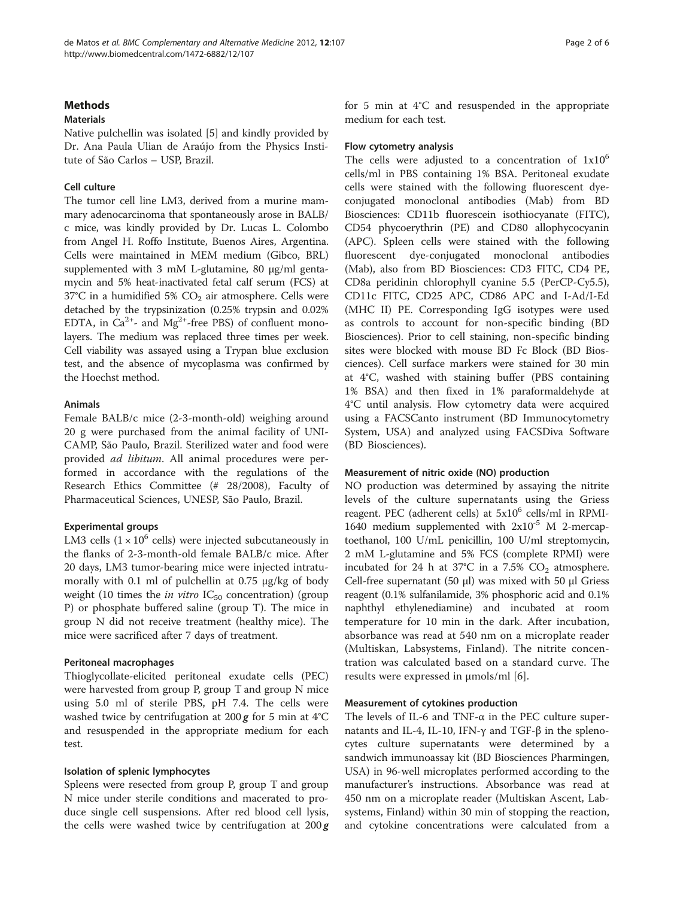# **Methods**

# Materials

Native pulchellin was isolated [[5\]](#page-4-0) and kindly provided by Dr. Ana Paula Ulian de Araújo from the Physics Institute of São Carlos – USP, Brazil.

### Cell culture

The tumor cell line LM3, derived from a murine mammary adenocarcinoma that spontaneously arose in BALB/ c mice, was kindly provided by Dr. Lucas L. Colombo from Angel H. Roffo Institute, Buenos Aires, Argentina. Cells were maintained in MEM medium (Gibco, BRL) supplemented with 3 mM L-glutamine, 80 μg/ml gentamycin and 5% heat-inactivated fetal calf serum (FCS) at  $37^{\circ}$ C in a humidified 5% CO<sub>2</sub> air atmosphere. Cells were detached by the trypsinization (0.25% trypsin and 0.02% EDTA, in  $Ca^{2+}$ - and Mg<sup>2+</sup>-free PBS) of confluent monolayers. The medium was replaced three times per week. Cell viability was assayed using a Trypan blue exclusion test, and the absence of mycoplasma was confirmed by the Hoechst method.

### Animals

Female BALB/c mice (2-3-month-old) weighing around 20 g were purchased from the animal facility of UNI-CAMP, São Paulo, Brazil. Sterilized water and food were provided ad libitum. All animal procedures were performed in accordance with the regulations of the Research Ethics Committee (# 28/2008), Faculty of Pharmaceutical Sciences, UNESP, São Paulo, Brazil.

# Experimental groups

LM3 cells  $(1 \times 10^6$  cells) were injected subcutaneously in the flanks of 2-3-month-old female BALB/c mice. After 20 days, LM3 tumor-bearing mice were injected intratumorally with 0.1 ml of pulchellin at 0.75 μg/kg of body weight (10 times the *in vitro*  $IC_{50}$  concentration) (group P) or phosphate buffered saline (group T). The mice in group N did not receive treatment (healthy mice). The mice were sacrificed after 7 days of treatment.

#### Peritoneal macrophages

Thioglycollate-elicited peritoneal exudate cells (PEC) were harvested from group P, group T and group N mice using 5.0 ml of sterile PBS, pH 7.4. The cells were washed twice by centrifugation at  $200\,\text{g}$  for 5 min at  $4^{\circ}\text{C}$ and resuspended in the appropriate medium for each test.

#### Isolation of splenic lymphocytes

Spleens were resected from group P, group T and group N mice under sterile conditions and macerated to produce single cell suspensions. After red blood cell lysis, the cells were washed twice by centrifugation at  $200 g$  for 5 min at 4°C and resuspended in the appropriate medium for each test.

### Flow cytometry analysis

The cells were adjusted to a concentration of  $1x10^6$ cells/ml in PBS containing 1% BSA. Peritoneal exudate cells were stained with the following fluorescent dyeconjugated monoclonal antibodies (Mab) from BD Biosciences: CD11b fluorescein isothiocyanate (FITC), CD54 phycoerythrin (PE) and CD80 allophycocyanin (APC). Spleen cells were stained with the following fluorescent dye-conjugated monoclonal antibodies (Mab), also from BD Biosciences: CD3 FITC, CD4 PE, CD8a peridinin chlorophyll cyanine 5.5 (PerCP-Cy5.5), CD11c FITC, CD25 APC, CD86 APC and I-Ad/I-Ed (MHC II) PE. Corresponding IgG isotypes were used as controls to account for non-specific binding (BD Biosciences). Prior to cell staining, non-specific binding sites were blocked with mouse BD Fc Block (BD Biosciences). Cell surface markers were stained for 30 min at 4°C, washed with staining buffer (PBS containing 1% BSA) and then fixed in 1% paraformaldehyde at 4°C until analysis. Flow cytometry data were acquired using a FACSCanto instrument (BD Immunocytometry System, USA) and analyzed using FACSDiva Software (BD Biosciences).

# Measurement of nitric oxide (NO) production

NO production was determined by assaying the nitrite levels of the culture supernatants using the Griess reagent. PEC (adherent cells) at  $5x10^6$  cells/ml in RPMI-1640 medium supplemented with  $2x10^{-5}$  M 2-mercaptoethanol, 100 U/mL penicillin, 100 U/ml streptomycin, 2 mM L-glutamine and 5% FCS (complete RPMI) were incubated for 24 h at  $37^{\circ}$ C in a 7.5% CO<sub>2</sub> atmosphere. Cell-free supernatant (50 μl) was mixed with 50 μl Griess reagent (0.1% sulfanilamide, 3% phosphoric acid and 0.1% naphthyl ethylenediamine) and incubated at room temperature for 10 min in the dark. After incubation, absorbance was read at 540 nm on a microplate reader (Multiskan, Labsystems, Finland). The nitrite concentration was calculated based on a standard curve. The results were expressed in μmols/ml [\[6](#page-4-0)].

# Measurement of cytokines production

The levels of IL-6 and TNF- $\alpha$  in the PEC culture supernatants and IL-4, IL-10, IFN-γ and TGF-β in the splenocytes culture supernatants were determined by a sandwich immunoassay kit (BD Biosciences Pharmingen, USA) in 96-well microplates performed according to the manufacturer's instructions. Absorbance was read at 450 nm on a microplate reader (Multiskan Ascent, Labsystems, Finland) within 30 min of stopping the reaction, and cytokine concentrations were calculated from a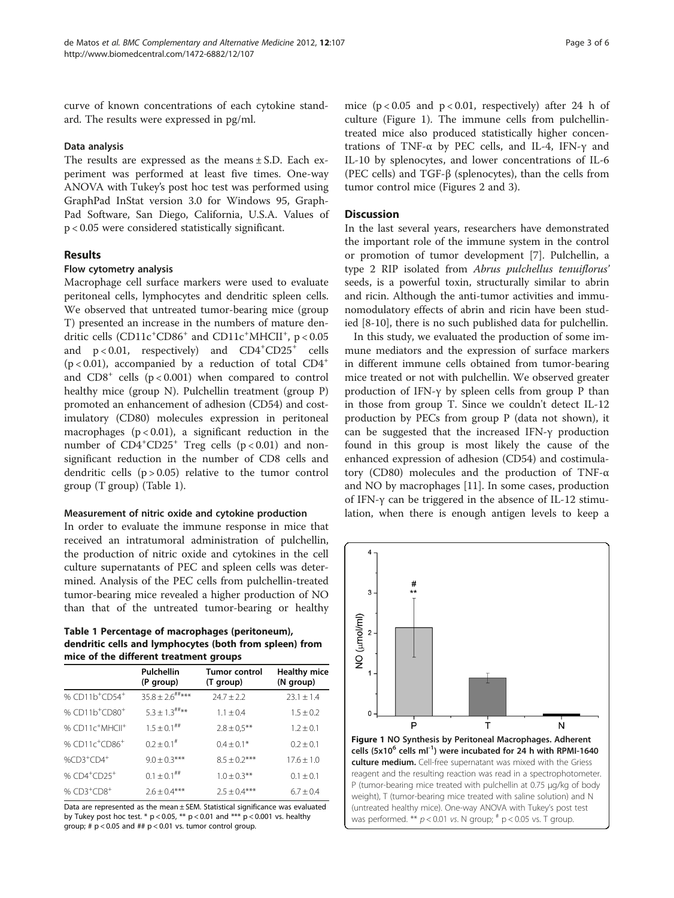curve of known concentrations of each cytokine standard. The results were expressed in pg/ml.

# Data analysis

The results are expressed as the means ± S.D. Each experiment was performed at least five times. One-way ANOVA with Tukey's post hoc test was performed using GraphPad InStat version 3.0 for Windows 95, Graph-Pad Software, San Diego, California, U.S.A. Values of p < 0.05 were considered statistically significant.

# Results

# Flow cytometry analysis

Macrophage cell surface markers were used to evaluate peritoneal cells, lymphocytes and dendritic spleen cells. We observed that untreated tumor-bearing mice (group T) presented an increase in the numbers of mature dendritic cells  $(CD11c^+CD86^+$  and  $CD11c^+MHCII^+$ , p < 0.05 and  $p < 0.01$ , respectively) and  $CD4^+CD25^+$  cells  $(p < 0.01)$ , accompanied by a reduction of total CD4<sup>+</sup> and  $CD8<sup>+</sup>$  cells ( $p < 0.001$ ) when compared to control healthy mice (group N). Pulchellin treatment (group P) promoted an enhancement of adhesion (CD54) and costimulatory (CD80) molecules expression in peritoneal macrophages  $(p < 0.01)$ , a significant reduction in the number of CD4<sup>+</sup>CD25<sup>+</sup> Treg cells (p < 0.01) and nonsignificant reduction in the number of CD8 cells and dendritic cells  $(p > 0.05)$  relative to the tumor control group (T group) (Table 1).

#### Measurement of nitric oxide and cytokine production

In order to evaluate the immune response in mice that received an intratumoral administration of pulchellin, the production of nitric oxide and cytokines in the cell culture supernatants of PEC and spleen cells was determined. Analysis of the PEC cells from pulchellin-treated tumor-bearing mice revealed a higher production of NO than that of the untreated tumor-bearing or healthy

Table 1 Percentage of macrophages (peritoneum), dendritic cells and lymphocytes (both from spleen) from mice of the different treatment groups

|                                         | Pulchellin<br>(P group)         | Tumor control<br>(T group) | <b>Healthy mice</b><br>(N group) |
|-----------------------------------------|---------------------------------|----------------------------|----------------------------------|
| % CD11b <sup>+</sup> CD54 <sup>+</sup>  | $35.8 \pm 2.6$ <sup>##***</sup> | $74.7 + 7.7$               | $23.1 + 1.4$                     |
| % CD11b <sup>+</sup> CD80 <sup>+</sup>  | $5.3 \pm 1.3$ <sup>##**</sup>   | $1.1 \pm 0.4$              | $1.5 + 0.2$                      |
| % CD11c <sup>+</sup> MHCII <sup>+</sup> | $1.5 + 0.1$ <sup>##</sup>       | $2.8 \pm 0.5***$           | $1.2 + 0.1$                      |
| % CD11c <sup>+</sup> CD86 <sup>+</sup>  | $0.2 \pm 0.1^{\#}$              | $0.4 \pm 0.1*$             | $0.2 + 0.1$                      |
| $%CD3+CDA+$                             | $9.0 \pm 0.3$ ***               | $8.5 + 0.2***$             | $17.6 + 1.0$                     |
| % $CD4^+CD25^+$                         | $0.1 \pm 0.1$ <sup>##</sup>     | $1.0 \pm 0.3$ **           | $0.1 + 0.1$                      |
| % $CD3+CDB^+$                           | $2.6 \pm 0.4***$                | $2.5 + 0.4***$             | $6.7 + 0.4$                      |

Data are represented as the mean ± SEM. Statistical significance was evaluated by Tukey post hoc test. \*  $p < 0.05$ , \*\*  $p < 0.01$  and \*\*\*  $p < 0.001$  vs. healthy group; #  $p < 0.05$  and ##  $p < 0.01$  vs. tumor control group.

mice  $(p < 0.05$  and  $p < 0.01$ , respectively) after 24 h of culture (Figure 1). The immune cells from pulchellintreated mice also produced statistically higher concentrations of TNF-α by PEC cells, and IL-4, IFN-γ and IL-10 by splenocytes, and lower concentrations of IL-6 (PEC cells) and TGF-β (splenocytes), than the cells from tumor control mice (Figures [2](#page-3-0) and [3](#page-3-0)).

# **Discussion**

In the last several years, researchers have demonstrated the important role of the immune system in the control or promotion of tumor development [\[7](#page-4-0)]. Pulchellin, a type 2 RIP isolated from Abrus pulchellus tenuiflorus' seeds, is a powerful toxin, structurally similar to abrin and ricin. Although the anti-tumor activities and immunomodulatory effects of abrin and ricin have been studied [\[8-10](#page-4-0)], there is no such published data for pulchellin.

In this study, we evaluated the production of some immune mediators and the expression of surface markers in different immune cells obtained from tumor-bearing mice treated or not with pulchellin. We observed greater production of IFN-γ by spleen cells from group P than in those from group T. Since we couldn't detect IL-12 production by PECs from group P (data not shown), it can be suggested that the increased IFN-γ production found in this group is most likely the cause of the enhanced expression of adhesion (CD54) and costimulatory (CD80) molecules and the production of TNF-α and NO by macrophages [[11\]](#page-5-0). In some cases, production of IFN-γ can be triggered in the absence of IL-12 stimulation, when there is enough antigen levels to keep a

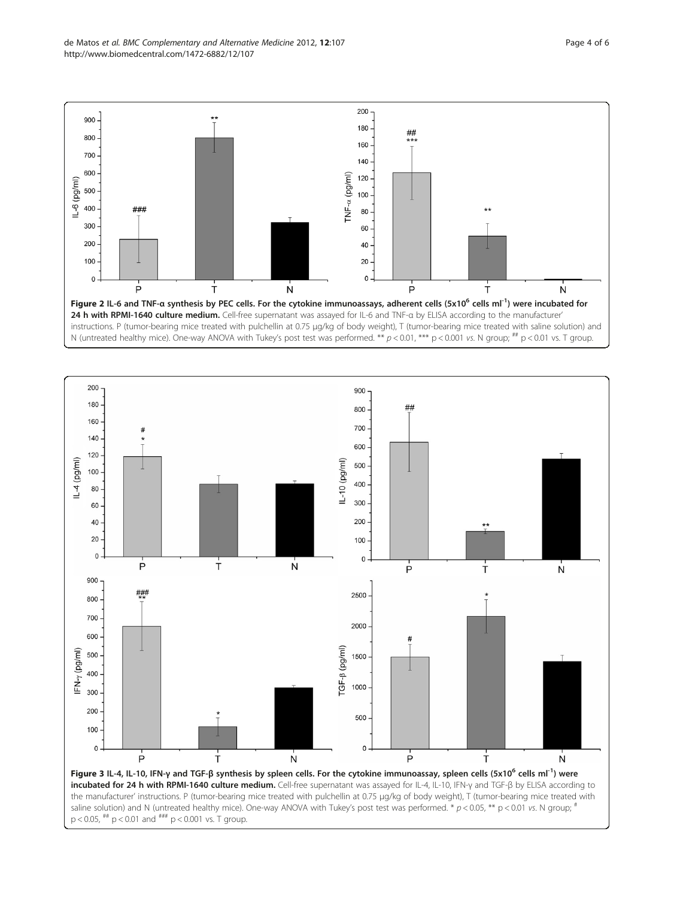<span id="page-3-0"></span>

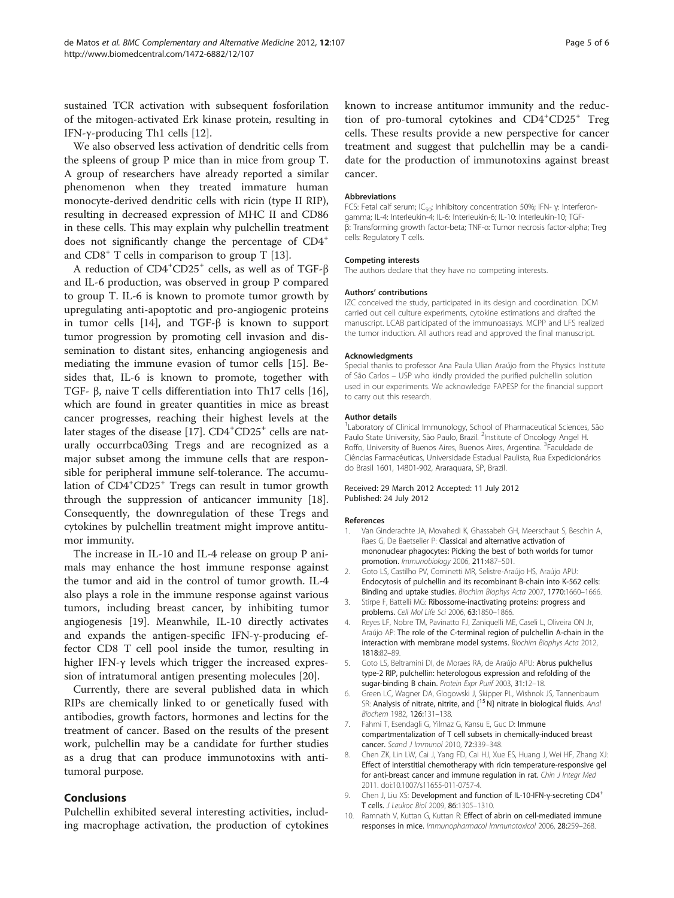<span id="page-4-0"></span>sustained TCR activation with subsequent fosforilation of the mitogen-activated Erk kinase protein, resulting in IFN-γ-producing Th1 cells [\[12](#page-5-0)].

We also observed less activation of dendritic cells from the spleens of group P mice than in mice from group T. A group of researchers have already reported a similar phenomenon when they treated immature human monocyte-derived dendritic cells with ricin (type II RIP), resulting in decreased expression of MHC II and CD86 in these cells. This may explain why pulchellin treatment does not significantly change the percentage of CD4<sup>+</sup> and CD8<sup>+</sup> T cells in comparison to group T [\[13](#page-5-0)].

A reduction of CD4<sup>+</sup>CD25<sup>+</sup> cells, as well as of TGF-β and IL-6 production, was observed in group P compared to group T. IL-6 is known to promote tumor growth by upregulating anti-apoptotic and pro-angiogenic proteins in tumor cells [[14\]](#page-5-0), and TGF-β is known to support tumor progression by promoting cell invasion and dissemination to distant sites, enhancing angiogenesis and mediating the immune evasion of tumor cells [\[15](#page-5-0)]. Besides that, IL-6 is known to promote, together with TGF- β, naive T cells differentiation into Th17 cells [\[16](#page-5-0)], which are found in greater quantities in mice as breast cancer progresses, reaching their highest levels at the later stages of the disease [\[17](#page-5-0)]. CD4<sup>+</sup>CD25<sup>+</sup> cells are naturally occurrbca03ing Tregs and are recognized as a major subset among the immune cells that are responsible for peripheral immune self-tolerance. The accumulation of CD4<sup>+</sup>CD25<sup>+</sup> Tregs can result in tumor growth through the suppression of anticancer immunity [\[18](#page-5-0)]. Consequently, the downregulation of these Tregs and cytokines by pulchellin treatment might improve antitumor immunity.

The increase in IL-10 and IL-4 release on group P animals may enhance the host immune response against the tumor and aid in the control of tumor growth. IL-4 also plays a role in the immune response against various tumors, including breast cancer, by inhibiting tumor angiogenesis [\[19\]](#page-5-0). Meanwhile, IL-10 directly activates and expands the antigen-specific IFN-γ-producing effector CD8 T cell pool inside the tumor, resulting in higher IFN-γ levels which trigger the increased expression of intratumoral antigen presenting molecules [[20](#page-5-0)].

Currently, there are several published data in which RIPs are chemically linked to or genetically fused with antibodies, growth factors, hormones and lectins for the treatment of cancer. Based on the results of the present work, pulchellin may be a candidate for further studies as a drug that can produce immunotoxins with antitumoral purpose.

# Conclusions

Pulchellin exhibited several interesting activities, including macrophage activation, the production of cytokines known to increase antitumor immunity and the reduction of pro-tumoral cytokines and CD4+CD25+ Treg cells. These results provide a new perspective for cancer treatment and suggest that pulchellin may be a candidate for the production of immunotoxins against breast cancer.

#### Abbreviations

FCS: Fetal calf serum: IC<sub>50</sub>: Inhibitory concentration 50%; IFN- ν: Interferongamma; IL-4: Interleukin-4; IL-6: Interleukin-6; IL-10: Interleukin-10; TGFβ: Transforming growth factor-beta; TNF-α: Tumor necrosis factor-alpha; Treg cells: Regulatory T cells.

#### Competing interests

The authors declare that they have no competing interests.

#### Authors' contributions

IZC conceived the study, participated in its design and coordination. DCM carried out cell culture experiments, cytokine estimations and drafted the manuscript. LCAB participated of the immunoassays. MCPP and LFS realized the tumor induction. All authors read and approved the final manuscript.

#### Acknowledgments

Special thanks to professor Ana Paula Ulian Araújo from the Physics Institute of São Carlos – USP who kindly provided the purified pulchellin solution used in our experiments. We acknowledge FAPESP for the financial support to carry out this research.

#### Author details

<sup>1</sup> Laboratory of Clinical Immunology, School of Pharmaceutical Sciences, São Paulo State University, São Paulo, Brazil. <sup>2</sup>Institute of Oncology Angel H. Roffo, University of Buenos Aires, Buenos Aires, Argentina. <sup>3</sup>Faculdade de Ciências Farmacêuticas, Universidade Estadual Paulista, Rua Expedicionários do Brasil 1601, 14801-902, Araraquara, SP, Brazil.

#### Received: 29 March 2012 Accepted: 11 July 2012 Published: 24 July 2012

#### References

- 1. Van Ginderachte JA, Movahedi K, Ghassabeh GH, Meerschaut S, Beschin A, Raes G, De Baetselier P: Classical and alternative activation of mononuclear phagocytes: Picking the best of both worlds for tumor promotion. Immunobiology 2006, 211:487–501.
- 2. Goto LS, Castilho PV, Cominetti MR, Selistre-Araújo HS, Araújo APU: Endocytosis of pulchellin and its recombinant B-chain into K-562 cells: Binding and uptake studies. Biochim Biophys Acta 2007, 1770:1660–1666.
- 3. Stirpe F, Battelli MG: Ribossome-inactivating proteins: progress and problems. Cell Mol Life Sci 2006, 63:1850–1866.
- 4. Reyes LF, Nobre TM, Pavinatto FJ, Zaniquelli ME, Caseli L, Oliveira ON Jr, Araújo AP: The role of the C-terminal region of pulchellin A-chain in the interaction with membrane model systems. Biochim Biophys Acta 2012, 1818:82–89.
- Goto LS, Beltramini DI, de Moraes RA, de Araújo APU: Abrus pulchellus type-2 RIP, pulchellin: heterologous expression and refolding of the sugar-binding B chain. Protein Expr Purif 2003, 31:12–18.
- 6. Green LC, Wagner DA, Glogowski J, Skipper PL, Wishnok JS, Tannenbaum SR: Analysis of nitrate, nitrite, and [<sup>15</sup> N] nitrate in biological fluids. Anal Biochem 1982, 126:131–138.
- 7. Fahmi T, Esendagli G, Yilmaz G, Kansu E, Guc D: Immune compartmentalization of T cell subsets in chemically-induced breast cancer. Scand J Immunol 2010, 72:339–348.
- 8. Chen ZK, Lin LW, Cai J, Yang FD, Cai HJ, Xue ES, Huang J, Wei HF, Zhang XJ: Effect of interstitial chemotherapy with ricin temperature-responsive gel for anti-breast cancer and immune regulation in rat. Chin J Integr Med 2011. doi[:10.1007/s11655-011-0757-4](http://dx.doi.org/10.1007/s11655-011-0757-4).
- 9. Chen J, Liu XS: Development and function of IL-10-IFN-γ-secreting CD4<sup>+</sup> T cells. J Leukoc Biol 2009, 86:1305–1310.
- 10. Ramnath V, Kuttan G, Kuttan R: Effect of abrin on cell-mediated immune responses in mice. Immunopharmacol Immunotoxicol 2006, 28:259–268.